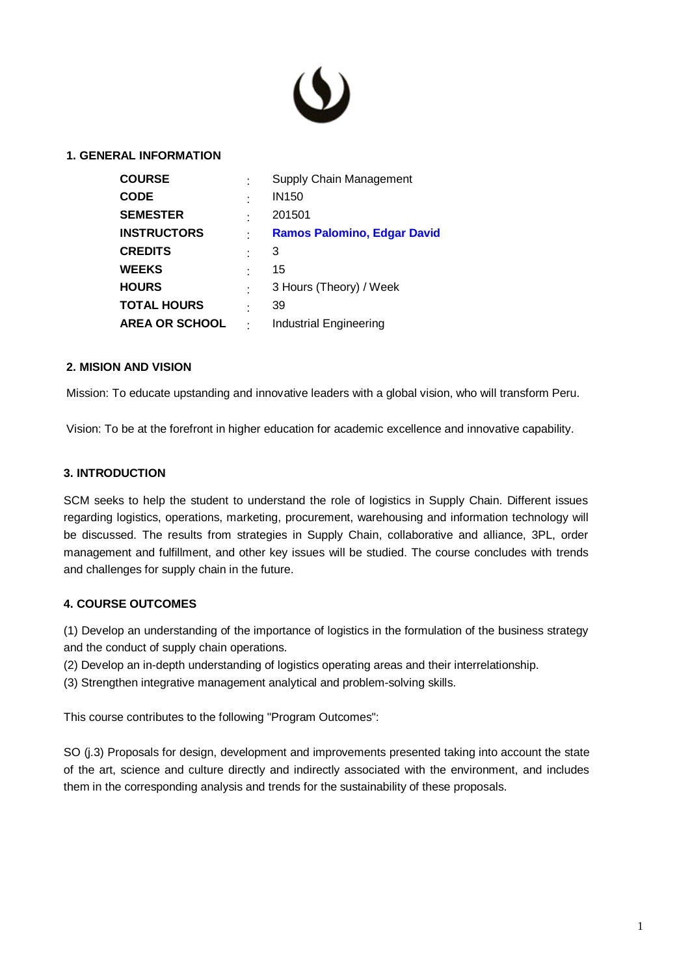

#### **1. GENERAL INFORMATION**

| <b>COURSE</b>         | Supply Chain Management            |
|-----------------------|------------------------------------|
| <b>CODE</b>           | <b>IN150</b>                       |
| <b>SEMESTER</b>       | 201501                             |
| <b>INSTRUCTORS</b>    | <b>Ramos Palomino, Edgar David</b> |
| <b>CREDITS</b>        | 3                                  |
| <b>WEEKS</b>          | 15                                 |
| <b>HOURS</b>          | 3 Hours (Theory) / Week            |
| <b>TOTAL HOURS</b>    | 39                                 |
| <b>AREA OR SCHOOL</b> | Industrial Engineering             |
|                       |                                    |

#### **2. MISION AND VISION**

Mission: To educate upstanding and innovative leaders with a global vision, who will transform Peru.

Vision: To be at the forefront in higher education for academic excellence and innovative capability.

#### **3. INTRODUCTION**

SCM seeks to help the student to understand the role of logistics in Supply Chain. Different issues regarding logistics, operations, marketing, procurement, warehousing and information technology will be discussed. The results from strategies in Supply Chain, collaborative and alliance, 3PL, order management and fulfillment, and other key issues will be studied. The course concludes with trends and challenges for supply chain in the future.

## **4. COURSE OUTCOMES**

(1) Develop an understanding of the importance of logistics in the formulation of the business strategy and the conduct of supply chain operations.

(2) Develop an in-depth understanding of logistics operating areas and their interrelationship.

(3) Strengthen integrative management analytical and problem-solving skills.

This course contributes to the following "Program Outcomes":

SO (j.3) Proposals for design, development and improvements presented taking into account the state of the art, science and culture directly and indirectly associated with the environment, and includes them in the corresponding analysis and trends for the sustainability of these proposals.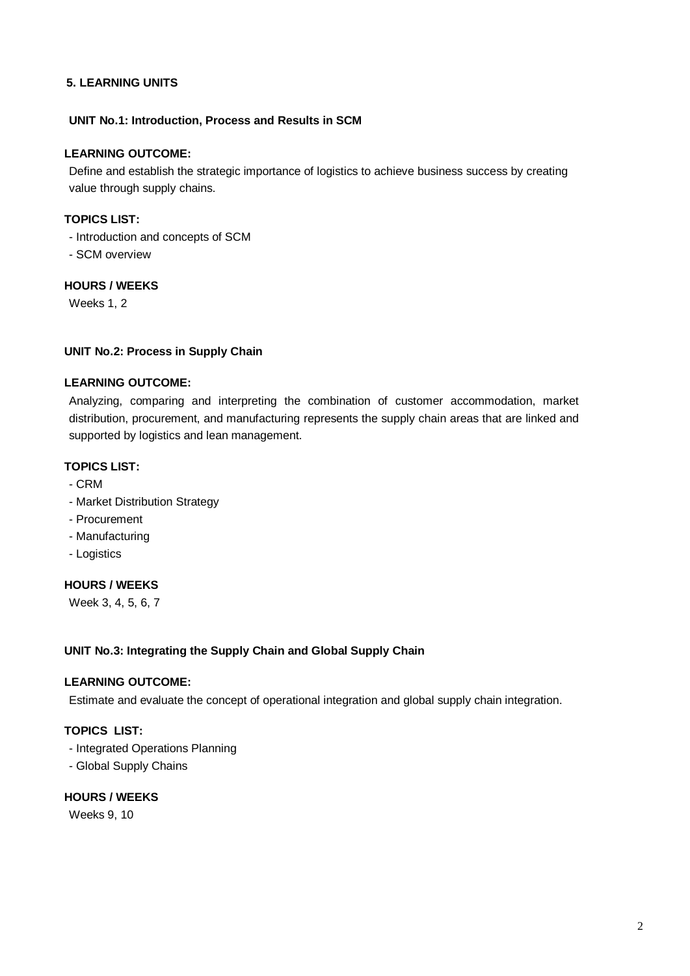## **5. LEARNING UNITS**

## **UNIT No.1: Introduction, Process and Results in SCM**

## **LEARNING OUTCOME:**

Define and establish the strategic importance of logistics to achieve business success by creating value through supply chains.

## **TOPICS LIST:**

- Introduction and concepts of SCM
- SCM overview

## **HOURS / WEEKS**

Weeks 1, 2

## **UNIT No.2: Process in Supply Chain**

## **LEARNING OUTCOME:**

Analyzing, comparing and interpreting the combination of customer accommodation, market distribution, procurement, and manufacturing represents the supply chain areas that are linked and supported by logistics and lean management.

## **TOPICS LIST:**

- CRM
- Market Distribution Strategy
- Procurement
- Manufacturing
- Logistics

# **HOURS / WEEKS**

Week 3, 4, 5, 6, 7

#### **UNIT No.3: Integrating the Supply Chain and Global Supply Chain**

## **LEARNING OUTCOME:**

Estimate and evaluate the concept of operational integration and global supply chain integration.

# **TOPICS LIST:**

- Integrated Operations Planning
- Global Supply Chains

## **HOURS / WEEKS**

Weeks 9, 10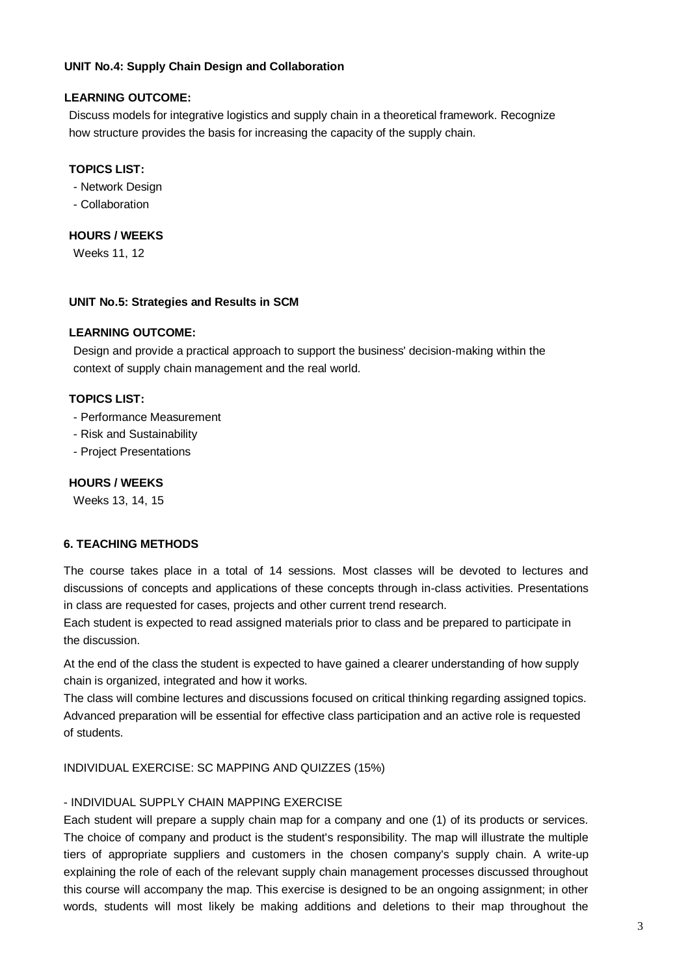## **UNIT No.4: Supply Chain Design and Collaboration**

## **LEARNING OUTCOME:**

Discuss models for integrative logistics and supply chain in a theoretical framework. Recognize how structure provides the basis for increasing the capacity of the supply chain.

## **TOPICS LIST:**

- Network Design

- Collaboration

## **HOURS / WEEKS**

Weeks 11, 12

#### **UNIT No.5: Strategies and Results in SCM**

## **LEARNING OUTCOME:**

Design and provide a practical approach to support the business' decision-making within the context of supply chain management and the real world.

## **TOPICS LIST:**

- Performance Measurement
- Risk and Sustainability
- Project Presentations

#### **HOURS / WEEKS**

Weeks 13, 14, 15

## **6. TEACHING METHODS**

The course takes place in a total of 14 sessions. Most classes will be devoted to lectures and discussions of concepts and applications of these concepts through in-class activities. Presentations in class are requested for cases, projects and other current trend research.

Each student is expected to read assigned materials prior to class and be prepared to participate in the discussion.

At the end of the class the student is expected to have gained a clearer understanding of how supply chain is organized, integrated and how it works.

The class will combine lectures and discussions focused on critical thinking regarding assigned topics. Advanced preparation will be essential for effective class participation and an active role is requested of students.

INDIVIDUAL EXERCISE: SC MAPPING AND QUIZZES (15%)

#### - INDIVIDUAL SUPPLY CHAIN MAPPING EXERCISE

Each student will prepare a supply chain map for a company and one (1) of its products or services. The choice of company and product is the student's responsibility. The map will illustrate the multiple tiers of appropriate suppliers and customers in the chosen company's supply chain. A write-up explaining the role of each of the relevant supply chain management processes discussed throughout this course will accompany the map. This exercise is designed to be an ongoing assignment; in other words, students will most likely be making additions and deletions to their map throughout the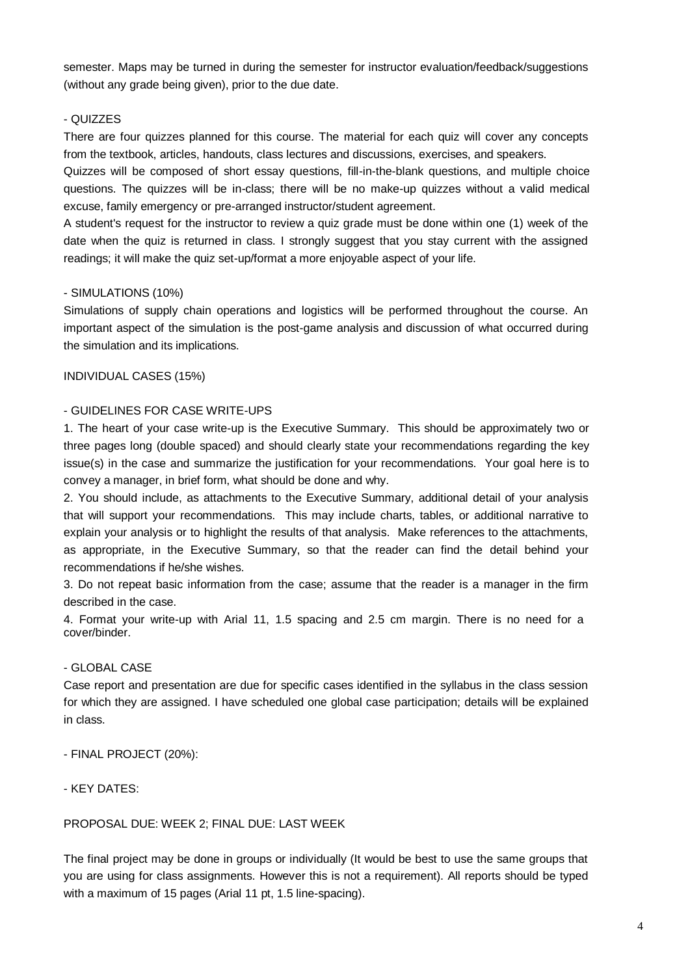semester. Maps may be turned in during the semester for instructor evaluation/feedback/suggestions (without any grade being given), prior to the due date.

## - QUIZZES

There are four quizzes planned for this course. The material for each quiz will cover any concepts from the textbook, articles, handouts, class lectures and discussions, exercises, and speakers.

Quizzes will be composed of short essay questions, fill-in-the-blank questions, and multiple choice questions. The quizzes will be in-class; there will be no make-up quizzes without a valid medical excuse, family emergency or pre-arranged instructor/student agreement.

A student's request for the instructor to review a quiz grade must be done within one (1) week of the date when the quiz is returned in class. I strongly suggest that you stay current with the assigned readings; it will make the quiz set-up/format a more enjoyable aspect of your life.

## - SIMULATIONS (10%)

Simulations of supply chain operations and logistics will be performed throughout the course. An important aspect of the simulation is the post-game analysis and discussion of what occurred during the simulation and its implications.

INDIVIDUAL CASES (15%)

## - GUIDELINES FOR CASE WRITE-UPS

1. The heart of your case write-up is the Executive Summary. This should be approximately two or three pages long (double spaced) and should clearly state your recommendations regarding the key issue(s) in the case and summarize the justification for your recommendations. Your goal here is to convey a manager, in brief form, what should be done and why.

2. You should include, as attachments to the Executive Summary, additional detail of your analysis that will support your recommendations. This may include charts, tables, or additional narrative to explain your analysis or to highlight the results of that analysis. Make references to the attachments, as appropriate, in the Executive Summary, so that the reader can find the detail behind your recommendations if he/she wishes.

3. Do not repeat basic information from the case; assume that the reader is a manager in the firm described in the case.

4. Format your write-up with Arial 11, 1.5 spacing and 2.5 cm margin. There is no need for a cover/binder.

# - GLOBAL CASE

Case report and presentation are due for specific cases identified in the syllabus in the class session for which they are assigned. I have scheduled one global case participation; details will be explained in class.

- FINAL PROJECT (20%):

- KEY DATES:

## PROPOSAL DUE: WEEK 2; FINAL DUE: LAST WEEK

The final project may be done in groups or individually (It would be best to use the same groups that you are using for class assignments. However this is not a requirement). All reports should be typed with a maximum of 15 pages (Arial 11 pt, 1.5 line-spacing).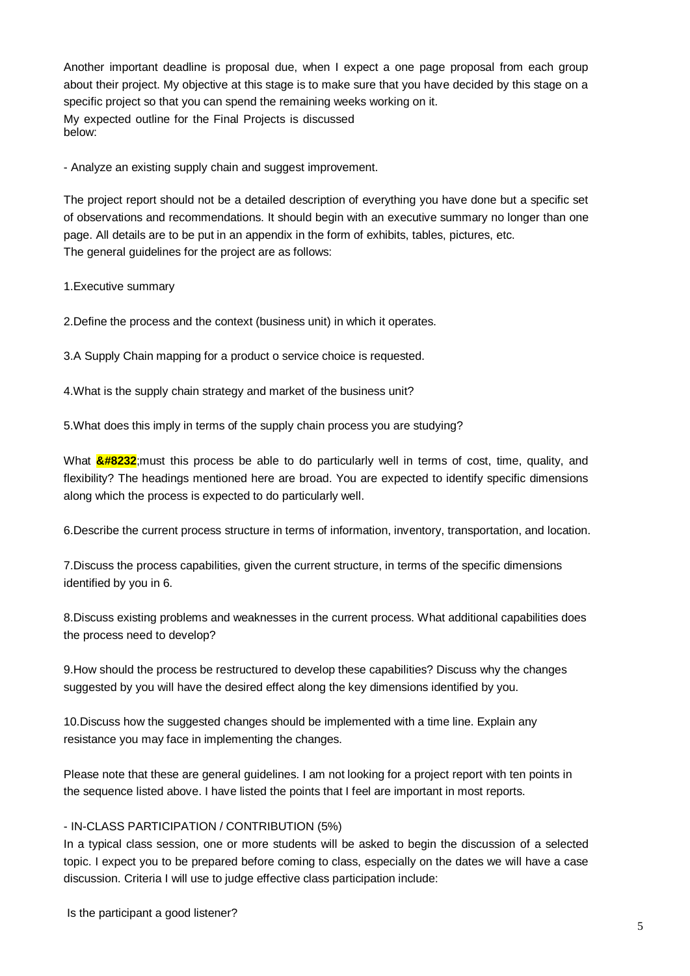Another important deadline is proposal due, when I expect a one page proposal from each group about their project. My objective at this stage is to make sure that you have decided by this stage on a specific project so that you can spend the remaining weeks working on it. My expected outline for the Final Projects is discussed below:

- Analyze an existing supply chain and suggest improvement.

The project report should not be a detailed description of everything you have done but a specific set of observations and recommendations. It should begin with an executive summary no longer than one page. All details are to be put in an appendix in the form of exhibits, tables, pictures, etc. The general guidelines for the project are as follows:

1.Executive summary

2.Define the process and the context (business unit) in which it operates.

3.A Supply Chain mapping for a product o service choice is requested.

4.What is the supply chain strategy and market of the business unit?

5.What does this imply in terms of the supply chain process you are studying?

What  $\frac{8\#8232}{2}$ ; must this process be able to do particularly well in terms of cost, time, quality, and flexibility? The headings mentioned here are broad. You are expected to identify specific dimensions along which the process is expected to do particularly well.

6.Describe the current process structure in terms of information, inventory, transportation, and location.

7.Discuss the process capabilities, given the current structure, in terms of the specific dimensions identified by you in 6.

8.Discuss existing problems and weaknesses in the current process. What additional capabilities does the process need to develop?

9.How should the process be restructured to develop these capabilities? Discuss why the changes suggested by you will have the desired effect along the key dimensions identified by you.

10.Discuss how the suggested changes should be implemented with a time line. Explain any resistance you may face in implementing the changes.

Please note that these are general guidelines. I am not looking for a project report with ten points in the sequence listed above. I have listed the points that I feel are important in most reports.

#### - IN-CLASS PARTICIPATION / CONTRIBUTION (5%)

In a typical class session, one or more students will be asked to begin the discussion of a selected topic. I expect you to be prepared before coming to class, especially on the dates we will have a case discussion. Criteria I will use to judge effective class participation include: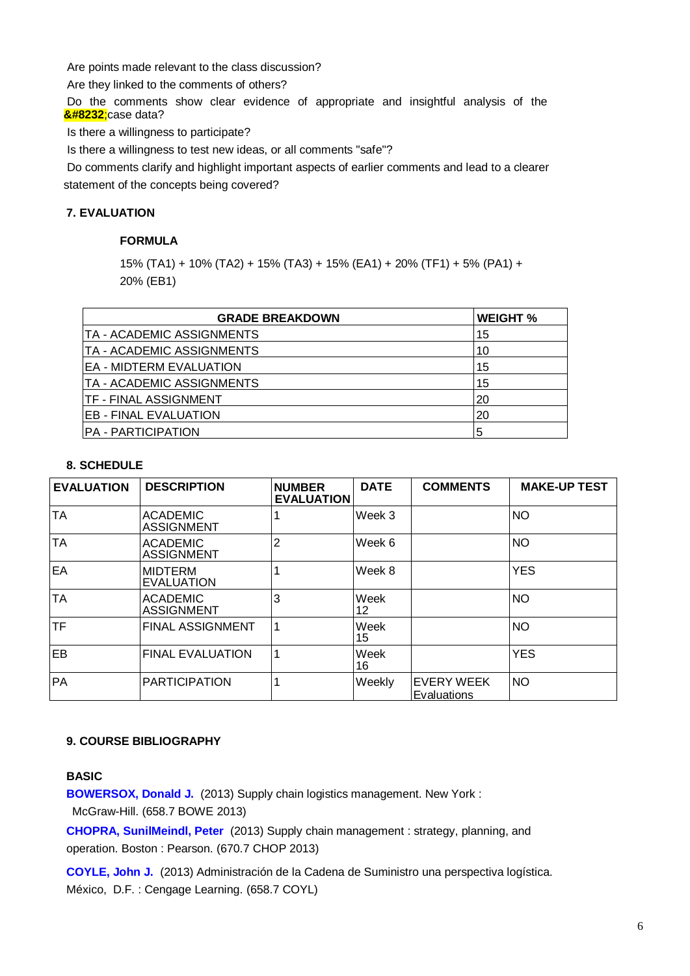Are points made relevant to the class discussion?

Are they linked to the comments of others?

Do the comments show clear evidence of appropriate and insightful analysis of the case data?

Is there a willingness to participate?

Is there a willingness to test new ideas, or all comments "safe"?

Do comments clarify and highlight important aspects of earlier comments and lead to a clearer statement of the concepts being covered?

#### **7. EVALUATION**

#### **FORMULA**

15% (TA1) + 10% (TA2) + 15% (TA3) + 15% (EA1) + 20% (TF1) + 5% (PA1) + 20% (EB1)

| <b>GRADE BREAKDOWN</b>         | <b>WEIGHT %</b> |
|--------------------------------|-----------------|
| TA - ACADEMIC ASSIGNMENTS      | 15              |
| TA - ACADEMIC ASSIGNMENTS      | 10              |
| <b>EA - MIDTERM EVALUATION</b> | 15              |
| TA - ACADEMIC ASSIGNMENTS      | 15              |
| <b>TF - FINAL ASSIGNMENT</b>   | 20              |
| <b>EB - FINAL EVALUATION</b>   | 20              |
| <b>PA - PARTICIPATION</b>      | 5               |

#### **8. SCHEDULE**

| <b>EVALUATION</b> | <b>DESCRIPTION</b>                   | <b>NUMBER</b><br><b>EVALUATION</b> | <b>DATE</b> | <b>COMMENTS</b>           | <b>MAKE-UP TEST</b> |
|-------------------|--------------------------------------|------------------------------------|-------------|---------------------------|---------------------|
| <b>TA</b>         | <b>ACADEMIC</b><br><b>ASSIGNMENT</b> |                                    | Week 3      |                           | <b>NO</b>           |
| <b>TA</b>         | <b>ACADEMIC</b><br><b>ASSIGNMENT</b> | $\overline{2}$                     | Week 6      |                           | <b>NO</b>           |
| EA                | <b>IMIDTERM</b><br>EVALUATION        |                                    | Week 8      |                           | <b>YES</b>          |
| <b>TA</b>         | <b>ACADEMIC</b><br><b>ASSIGNMENT</b> | 3                                  | Week<br>12  |                           | <b>NO</b>           |
| TF                | <b>FINAL ASSIGNMENT</b>              |                                    | Week<br>15  |                           | <b>NO</b>           |
| EB                | <b>FINAL EVALUATION</b>              | 1                                  | Week<br>16  |                           | <b>YES</b>          |
| <b>PA</b>         | <b>PARTICIPATION</b>                 |                                    | Weekly      | EVERY WEEK<br>Evaluations | <b>NO</b>           |

#### **9. COURSE BIBLIOGRAPHY**

#### **BASIC**

**[BOWERSOX, Donald J.](http://aleph.upc.edu.pe/F/-/?func=find-b&request=000054289&find_code=SYS&adjacent=N&local_base=UPC01)** (2013) Supply chain logistics management. New York :

McGraw-Hill. (658.7 BOWE 2013)

**[CHOPRA, SunilMeindl, Peter](http://aleph.upc.edu.pe/F/-/?func=find-b&request=000054951&find_code=SYS&adjacent=N&local_base=UPC01)** (2013) Supply chain management : strategy, planning, and operation. Boston : Pearson. (670.7 CHOP 2013)

**[COYLE, John J.](http://aleph.upc.edu.pe/F/-/?func=find-b&request=000058283&find_code=SYS&adjacent=N&local_base=UPC01)** (2013) Administración de la Cadena de Suministro una perspectiva logística. México, D.F. : Cengage Learning. (658.7 COYL)